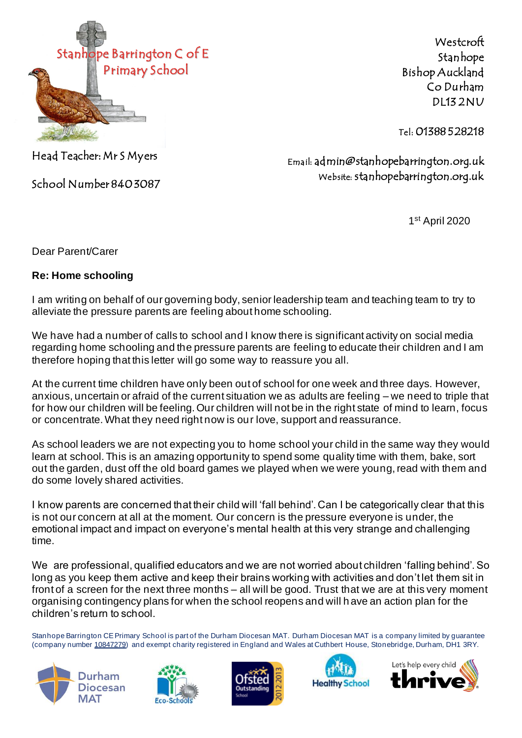

Westcroft Stanhope Bishop Auckland Co Durham DL13 2NU

Tel: 01388 528218

Head Teacher: Mr S Myers

School Number 840 3087

Email: admin@stanhopebarrington.org.uk Website: stanhopebarrington.org.uk

1 st April 2020

Dear Parent/Carer

## **Re: Home schooling**

I am writing on behalf of our governing body, senior leadership team and teaching team to try to alleviate the pressure parents are feeling about home schooling.

We have had a number of calls to school and I know there is significant activity on social media regarding home schooling and the pressure parents are feeling to educate their children and I am therefore hoping that this letter will go some way to reassure you all.

At the current time children have only been out of school for one week and three days. However, anxious, uncertain or afraid of the current situation we as adults are feeling – we need to triple that for how our children will be feeling. Our children will not be in the right state of mind to learn, focus or concentrate. What they need right now is our love, support and reassurance.

As school leaders we are not expecting you to home school your child in the same way they would learn at school. This is an amazing opportunity to spend some quality time with them, bake, sort out the garden, dust off the old board games we played when we were young, read with them and do some lovely shared activities.

I know parents are concerned that their child will 'fall behind'. Can I be categorically clear that this is not our concern at all at the moment. Our concern is the pressure everyone is under, the emotional impact and impact on everyone's mental health at this very strange and challenging time.

We are professional, qualified educators and we are not worried about children 'falling behind'. So long as you keep them active and keep their brains working with activities and don't let them sit in front of a screen for the next three months – all will be good. Trust that we are at this very moment organising contingency plans for when the school reopens and will h ave an action plan for the children's return to school.

Stanhope Barrington CEPrimary School is part of the Durham Diocesan MAT. Durham Diocesan MAT is a company limited by guarantee (company number 10847279) and exempt charity registered in England and Wales at Cuthbert House, Stonebridge, Durham, DH1 3RY.